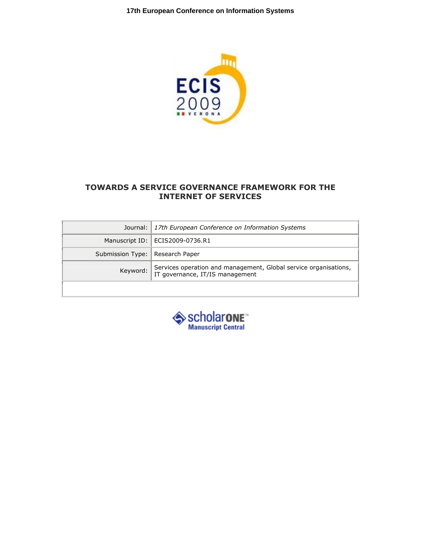

# TOWARDS A SERVICE GOVERNANCE FRAMEWORK FOR THE INTERNET OF SERVICES

|                                   | Journal:   17th European Conference on Information Systems                                                            |
|-----------------------------------|-----------------------------------------------------------------------------------------------------------------------|
|                                   | Manuscript ID:   ECIS2009-0736.R1                                                                                     |
| Submission Type:   Research Paper |                                                                                                                       |
|                                   | Services operation and management, Global service organisations,<br>Keyword:   July Victor Operation and Transagement |
|                                   |                                                                                                                       |

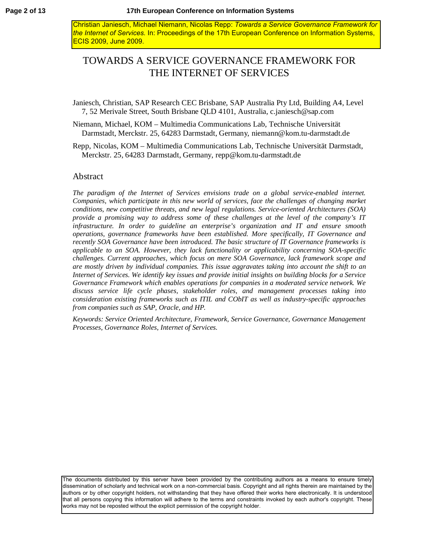Christian Janiesch, Michael Niemann, Nicolas Repp: *Towards a Service Governance Framework for the Internet of Services.* In: Proceedings of the 17th European Conference on Information Systems, ECIS 2009, June 2009.

# TOWARDS A SERVICE GOVERNANCE FRAMEWORK FOR THE INTERNET OF SERVICES

Janiesch, Christian, SAP Research CEC Brisbane, SAP Australia Pty Ltd, Building A4, Level 7, 52 Merivale Street, South Brisbane QLD 4101, Australia, [c.janiesch@sap.com](mailto:c.janiesch@sap.com)

Niemann, Michael, KOM – Multimedia Communications Lab, Technische Universität Darmstadt, Merckstr. 25, 64283 Darmstadt, Germany, [niemann@kom.tu-darmstadt.de](mailto:niemann@kom.tu-darmstadt.de)

Repp, Nicolas, KOM – Multimedia Communications Lab, Technische Universität Darmstadt, Merckstr. 25, 64283 Darmstadt, Germany, [repp@kom.tu-darmstadt.de](mailto:repp@kom.tu-darmstadt.de)

### Abstract

*The paradigm of the Internet of Services envisions trade on a global service-enabled internet. Companies, which participate in this new world of services, face the challenges of changing market conditions, new competitive threats, and new legal regulations. Service-oriented Architectures (SOA) provide a promising way to address some of these challenges at the level of the company's IT infrastructure. In order to guideline an enterprise's organization and IT and ensure smooth operations, governance frameworks have been established. More specifically, IT Governance and recently SOA Governance have been introduced. The basic structure of IT Governance frameworks is applicable to an SOA. However, they lack functionality or applicability concerning SOA-specific challenges. Current approaches, which focus on mere SOA Governance, lack framework scope and are mostly driven by individual companies. This issue aggravates taking into account the shift to an Internet of Services. We identify key issues and provide initial insights on building blocks for a Service Governance Framework which enables operations for companies in a moderated service network. We discuss service life cycle phases, stakeholder roles, and management processes taking into consideration existing frameworks such as ITIL and CObIT as well as industry-specific approaches from companies such as SAP, Oracle, and HP.*

*Keywords: Service Oriented Architecture, Framework, Service Governance, Governance Management Processes, Governance Roles, Internet of Services.*

The documents distributed by this server have been provided by the contributing authors as a means to ensure timely dissemination of scholarly and technical work on a non-commercial basis. Copyright and all rights therein are maintained by the authors or by other copyright holders, not withstanding that they have offered their works here electronically. It is understood that all persons copying this information will adhere to the terms and constraints invoked by each author's copyright. These works may not be reposted without the explicit permission of the copyright holder.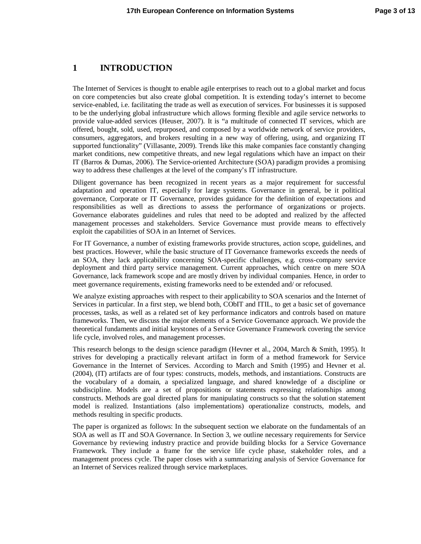### **1 INTRODUCTION**

The Internet of Services is thought to enable agile enterprises to reach out to a global market and focus on core competencies but also create global competition. It is extending today's internet to become service-enabled, i.e. facilitating the trade as well as execution of services. For businesses it is supposed to be the underlying global infrastructure which allows forming flexible and agile service networks to provide value-added services (Heuser, 2007). It is "a multitude of connected IT services, which are offered, bought, sold, used, repurposed, and composed by a worldwide network of service providers, consumers, aggregators, and brokers resulting in a new way of offering, using, and organizing IT supported functionality" (Villasante, 2009). Trends like this make companies face constantly changing market conditions, new competitive threats, and new legal regulations which have an impact on their IT (Barros & Dumas, 2006). The Service-oriented Architecture (SOA) paradigm provides a promising way to address these challenges at the level of the company's IT infrastructure.

Diligent governance has been recognized in recent years as a major requirement for successful adaptation and operation IT, especially for large systems. Governance in general, be it political governance, Corporate or IT Governance, provides guidance for the definition of expectations and responsibilities as well as directions to assess the performance of organizations or projects. Governance elaborates guidelines and rules that need to be adopted and realized by the affected management processes and stakeholders. Service Governance must provide means to effectively exploit the capabilities of SOA in an Internet of Services.

For IT Governance, a number of existing frameworks provide structures, action scope, guidelines, and best practices. However, while the basic structure of IT Governance frameworks exceeds the needs of an SOA, they lack applicability concerning SOA-specific challenges, e.g. cross-company service deployment and third party service management. Current approaches, which centre on mere SOA Governance, lack framework scope and are mostly driven by individual companies. Hence, in order to meet governance requirements, existing frameworks need to be extended and/ or refocused.

We analyze existing approaches with respect to their applicability to SOA scenarios and the Internet of Services in particular. In a first step, we blend both, CObIT and ITIL, to get a basic set of governance processes, tasks, as well as a related set of key performance indicators and controls based on mature frameworks. Then, we discuss the major elements of a Service Governance approach. We provide the theoretical fundaments and initial keystones of a Service Governance Framework covering the service life cycle, involved roles, and management processes.

This research belongs to the design science paradigm (Hevner et al., 2004, March & Smith, 1995). It strives for developing a practically relevant artifact in form of a method framework for Service Governance in the Internet of Services. According to March and Smith (1995) and Hevner et al. (2004), (IT) artifacts are of four types: constructs, models, methods, and instantiations. Constructs are the vocabulary of a domain, a specialized language, and shared knowledge of a discipline or subdiscipline. Models are a set of propositions or statements expressing relationships among constructs. Methods are goal directed plans for manipulating constructs so that the solution statement model is realized. Instantiations (also implementations) operationalize constructs, models, and methods resulting in specific products.

The paper is organized as follows: In the subsequent section we elaborate on the fundamentals of an SOA as well as IT and SOA Governance. In Section 3, we outline necessary requirements for Service Governance by reviewing industry practice and provide building blocks for a Service Governance Framework. They include a frame for the service life cycle phase, stakeholder roles, and a management process cycle. The paper closes with a summarizing analysis of Service Governance for an Internet of Services realized through service marketplaces.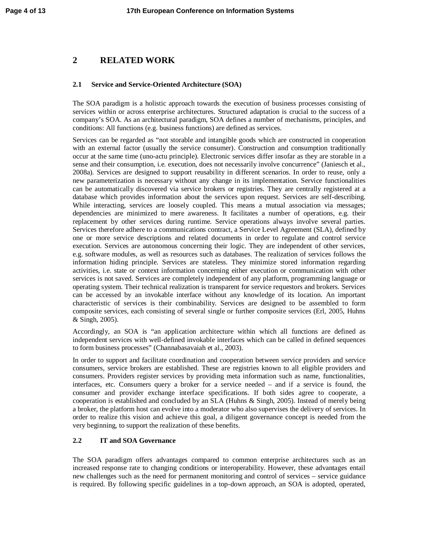# **2 RELATED WORK**

#### **2.1 Service and Service-Oriented Architecture (SOA)**

The SOA paradigm is a holistic approach towards the execution of business processes consisting of services within or across enterprise architectures. Structured adaptation is crucial to the success of a company's SOA. As an architectural paradigm, SOA defines a number of mechanisms, principles, and conditions: All functions (e.g. business functions) are defined as services.

Services can be regarded as "not storable and intangible goods which are constructed in cooperation with an external factor (usually the service consumer). Construction and consumption traditionally occur at the same time (uno-actu principle). Electronic services differ insofar as they are storable in a sense and their consumption, i.e. execution, does not necessarily involve concurrence" (Janiesch et al., 2008a). Services are designed to support reusability in different scenarios. In order to reuse, only a new parameterization is necessary without any change in its implementation. Service functionalities can be automatically discovered via service brokers or registries. They are centrally registered at a database which provides information about the services upon request. Services are self-describing. While interacting, services are loosely coupled. This means a mutual association via messages; dependencies are minimized to mere awareness. It facilitates a number of operations, e.g. their replacement by other services during runtime. Service operations always involve several parties. Services therefore adhere to a communications contract, a Service Level Agreement (SLA), defined by one or more service descriptions and related documents in order to regulate and control service execution. Services are autonomous concerning their logic. They are independent of other services, e.g. software modules, as well as resources such as databases. The realization of services follows the information hiding principle. Services are stateless. They minimize stored information regarding activities, i.e. state or context information concerning either execution or communication with other services is not saved. Services are completely independent of any platform, programming language or operating system. Their technical realization is transparent for service requestors and brokers. Services can be accessed by an invokable interface without any knowledge of its location. An important characteristic of services is their combinability. Services are designed to be assembled to form composite services, each consisting of several single or further composite services (Erl, 2005, Huhns & Singh, 2005).

Accordingly, an SOA is "an application architecture within which all functions are defined as independent services with well-defined invokable interfaces which can be called in defined sequences to form business processes" (Channabasavaiah et al., 2003).

In order to support and facilitate coordination and cooperation between service providers and service consumers, service brokers are established. These are registries known to all eligible providers and consumers. Providers register services by providing meta information such as name, functionalities, interfaces, etc. Consumers query a broker for a service needed – and if a service is found, the consumer and provider exchange interface specifications. If both sides agree to cooperate, a cooperation is established and concluded by an SLA (Huhns & Singh, 2005). Instead of merely being a broker, the platform host can evolve into a moderator who also supervises the delivery of services. In order to realize this vision and achieve this goal, a diligent governance concept is needed from the very beginning, to support the realization of these benefits.

### **2.2 IT and SOA Governance**

The SOA paradigm offers advantages compared to common enterprise architectures such as an increased response rate to changing conditions or interoperability. However, these advantages entail new challenges such as the need for permanent monitoring and control of services – service guidance is required. By following specific guidelines in a top-down approach, an SOA is adopted, operated,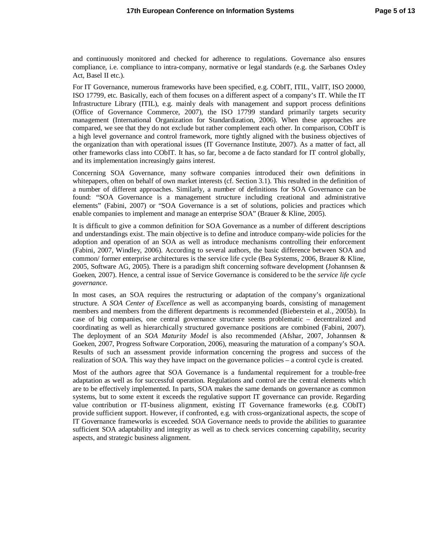and continuously monitored and checked for adherence to regulations. Governance also ensures compliance, i.e. compliance to intra-company, normative or legal standards (e.g. the Sarbanes Oxley Act, Basel II etc.).

For IT Governance, numerous frameworks have been specified, e.g. CObIT, ITIL, ValIT, ISO 20000, ISO 17799, etc. Basically, each of them focuses on a different aspect of a company's IT. While the IT Infrastructure Library (ITIL), e.g. mainly deals with management and support process definitions (Office of Governance Commerce, 2007), the ISO 17799 standard primarily targets security management (International Organization for Standardization, 2006). When these approaches are compared, we see that they do not exclude but rather complement each other. In comparison, CObIT is a high level governance and control framework, more tightly aligned with the business objectives of the organization than with operational issues (IT Governance Institute, 2007). As a matter of fact, all other frameworks class into CObIT. It has, so far, become a de facto standard for IT control globally, and its implementation increasingly gains interest.

Concerning SOA Governance, many software companies introduced their own definitions in whitepapers, often on behalf of own market interests (cf. Section 3.1). This resulted in the definition of a number of different approaches. Similarly, a number of definitions for SOA Governance can be found: "SOA Governance is a management structure including creational and administrative elements" (Fabini, 2007) or "SOA Governance is a set of solutions, policies and practices which enable companies to implement and manage an enterprise SOA" (Brauer & Kline, 2005).

It is difficult to give a common definition for SOA Governance as a number of different descriptions and understandings exist. The main objective is to define and introduce company-wide policies for the adoption and operation of an SOA as well as introduce mechanisms controlling their enforcement (Fabini, 2007, Windley, 2006). According to several authors, the basic difference between SOA and common/ former enterprise architectures is the service life cycle (Bea Systems, 2006, Brauer & Kline, 2005, Software AG, 2005). There is a paradigm shift concerning software development (Johannsen  $\&$ Goeken, 2007). Hence, a central issue of Service Governance is considered to be the *service life cycle governance*.

In most cases, an SOA requires the restructuring or adaptation of the company's organizational structure. A *SOA Center of Excellence* as well as accompanying boards, consisting of management members and members from the different departments is recommended (Bieberstein et al., 2005b). In case of big companies, one central governance structure seems problematic – decentralized and coordinating as well as hierarchically structured governance positions are combined (Fabini, 2007). The deployment of an *SOA Maturity Model* is also recommended (Afshar, 2007, Johannsen & Goeken, 2007, Progress Software Corporation, 2006), measuring the maturation of a company's SOA. Results of such an assessment provide information concerning the progress and success of the realization of SOA. This way they have impact on the governance policies – a control cycle is created.

Most of the authors agree that SOA Governance is a fundamental requirement for a trouble-free adaptation as well as for successful operation. Regulations and control are the central elements which are to be effectively implemented. In parts, SOA makes the same demands on governance as common systems, but to some extent it exceeds the regulative support IT governance can provide. Regarding value contribution or IT-business alignment, existing IT Governance frameworks (e.g. CObIT) provide sufficient support. However, if confronted, e.g. with cross-organizational aspects, the scope of IT Governance frameworks is exceeded. SOA Governance needs to provide the abilities to guarantee sufficient SOA adaptability and integrity as well as to check services concerning capability, security aspects, and strategic business alignment.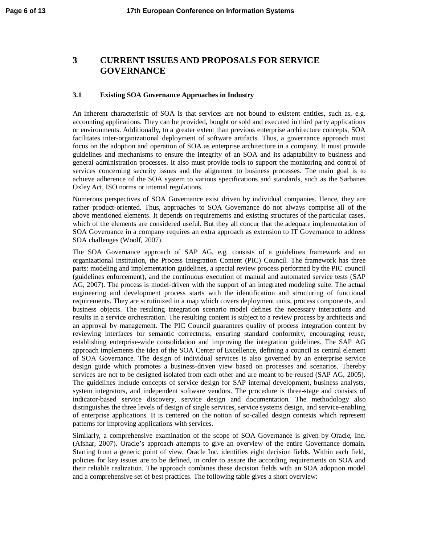# **3 CURRENT ISSUES AND PROPOSALS FOR SERVICE GOVERNANCE**

#### **3.1 Existing SOA Governance Approaches in Industry**

An inherent characteristic of SOA is that services are not bound to existent entities, such as, e.g. accounting applications. They can be provided, bought or sold and executed in third party applications or environments. Additionally, to a greater extent than previous enterprise architecture concepts, SOA facilitates inter-organizational deployment of software artifacts. Thus, a governance approach must focus on the adoption and operation of SOA as enterprise architecture in a company. It must provide guidelines and mechanisms to ensure the integrity of an SOA and its adaptability to business and general administration processes. It also must provide tools to support the monitoring and control of services concerning security issues and the alignment to business processes. The main goal is to achieve adherence of the SOA system to various specifications and standards, such as the Sarbanes Oxley Act, ISO norms or internal regulations.

Numerous perspectives of SOA Governance exist driven by individual companies. Hence, they are rather product-oriented. Thus, approaches to SOA Governance do not always comprise all of the above mentioned elements. It depends on requirements and existing structures of the particular cases, which of the elements are considered useful. But they all concur that the adequate implementation of SOA Governance in a company requires an extra approach as extension to IT Governance to address SOA challenges (Woolf, 2007).

The SOA Governance approach of SAP AG, e.g. consists of a guidelines framework and an organizational institution, the Process Integration Content (PIC) Council. The framework has three parts: modeling and implementation guidelines, a special review process performed by the PIC council (guidelines enforcement), and the continuous execution of manual and automated service tests (SAP AG, 2007). The process is model-driven with the support of an integrated modeling suite. The actual engineering and development process starts with the identification and structuring of functional requirements. They are scrutinized in a map which covers deployment units, process components, and business objects. The resulting integration scenario model defines the necessary interactions and results in a service orchestration. The resulting content is subject to a review process by architects and an approval by management. The PIC Council guarantees quality of process integration content by reviewing interfaces for semantic correctness, ensuring standard conformity, encouraging reuse, establishing enterprise-wide consolidation and improving the integration guidelines. The SAP AG approach implements the idea of the SOA Center of Excellence, defining a council as central element of SOA Governance. The design of individual services is also governed by an enterprise service design guide which promotes a business-driven view based on processes and scenarios. Thereby services are not to be designed isolated from each other and are meant to be reused (SAP AG, 2005). The guidelines include concepts of service design for SAP internal development, business analysts, system integrators, and independent software vendors. The procedure is three-stage and consists of indicator-based service discovery, service design and documentation. The methodology also distinguishes the three levels of design of single services, service systems design, and service-enabling of enterprise applications. It is centered on the notion of so-called design contexts which represent patterns for improving applications with services.

Similarly, a comprehensive examination of the scope of SOA Governance is given by Oracle, Inc. (Afshar, 2007). Oracle's approach attempts to give an overview of the entire Governance domain. Starting from a generic point of view, Oracle Inc. identifies eight decision fields. Within each field, policies for key issues are to be defined, in order to assure the according requirements on SOA and their reliable realization. The approach combines these decision fields with an SOA adoption model and a comprehensive set of best practices. The following table gives a short overview: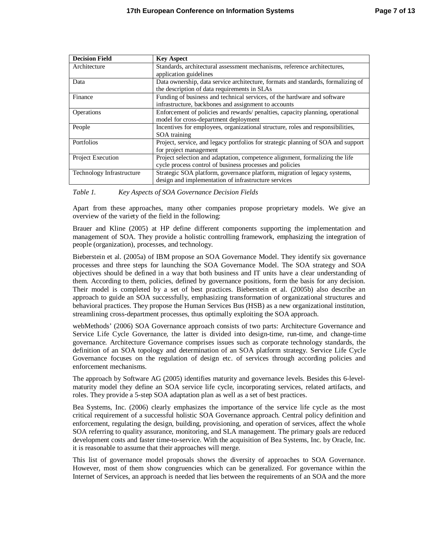| <b>Decision Field</b>     | <b>Key Aspect</b>                                                                 |
|---------------------------|-----------------------------------------------------------------------------------|
| Architecture              | Standards, architectural assessment mechanisms, reference architectures,          |
|                           | application guidelines                                                            |
| Data                      | Data ownership, data service architecture, formats and standards, formalizing of  |
|                           | the description of data requirements in SLAs                                      |
| Finance                   | Funding of business and technical services, of the hardware and software          |
|                           | infrastructure, backbones and assignment to accounts                              |
| Operations                | Enforcement of policies and rewards/ penalties, capacity planning, operational    |
|                           | model for cross-department deployment                                             |
| People                    | Incentives for employees, organizational structure, roles and responsibilities,   |
|                           | SOA training                                                                      |
| Portfolios                | Project, service, and legacy portfolios for strategic planning of SOA and support |
|                           | for project management                                                            |
| Project Execution         | Project selection and adaptation, competence alignment, formalizing the life      |
|                           | cycle process control of business processes and policies                          |
| Technology Infrastructure | Strategic SOA platform, governance platform, migration of legacy systems,         |
|                           | design and implementation of infrastructure services                              |

*Table 1. Key Aspects of SOA Governance Decision Fields*

Apart from these approaches, many other companies propose proprietary models. We give an overview of the variety of the field in the following:

Brauer and Kline (2005) at HP define different components supporting the implementation and management of SOA. They provide a holistic controlling framework, emphasizing the integration of people (organization), processes, and technology.

Bieberstein et al. (2005a) of IBM propose an SOA Governance Model. They identify six governance processes and three steps for launching the SOA Governance Model. The SOA strategy and SOA objectives should be defined in a way that both business and IT units have a clear understanding of them. According to them, policies, defined by governance positions, form the basis for any decision. Their model is completed by a set of best practices. Bieberstein et al. (2005b) also describe an approach to guide an SOA successfully, emphasizing transformation of organizational structures and behavioral practices. They propose the Human Services Bus (HSB) as a new organizational institution, streamlining cross-department processes, thus optimally exploiting the SOA approach.

webMethods' (2006) SOA Governance approach consists of two parts: Architecture Governance and Service Life Cycle Governance, the latter is divided into design-time, run-time, and change-time governance. Architecture Governance comprises issues such as corporate technology standards, the definition of an SOA topology and determination of an SOA platform strategy. Service Life Cycle Governance focuses on the regulation of design etc. of services through according policies and enforcement mechanisms.

The approach by Software AG (2005) identifies maturity and governance levels. Besides this 6-levelmaturity model they define an SOA service life cycle, incorporating services, related artifacts, and roles. They provide a 5-step SOA adaptation plan as well as a set of best practices.

Bea Systems, Inc. (2006) clearly emphasizes the importance of the service life cycle as the most critical requirement of a successful holistic SOA Governance approach. Central policy definition and enforcement, regulating the design, building, provisioning, and operation of services, affect the whole SOA referring to quality assurance, monitoring, and SLA management. The primary goals are reduced development costs and faster time-to-service. With the acquisition of Bea Systems, Inc. by Oracle, Inc. it is reasonable to assume that their approaches will merge.

This list of governance model proposals shows the diversity of approaches to SOA Governance. However, most of them show congruencies which can be generalized. For governance within the Internet of Services, an approach is needed that lies between the requirements of an SOA and the more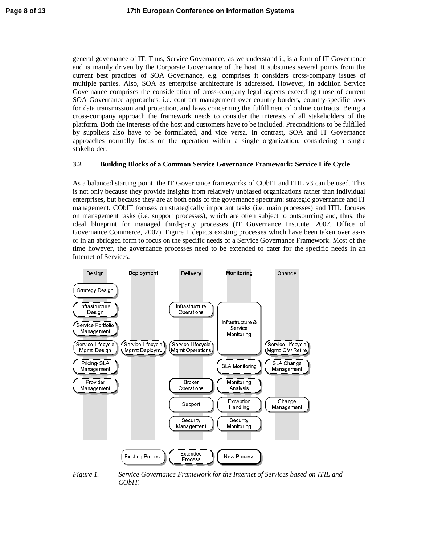general governance of IT. Thus, Service Governance, as we understand it, is a form of IT Governance and is mainly driven by the Corporate Governance of the host. It subsumes several points from the current best practices of SOA Governance, e.g. comprises it considers cross-company issues of multiple parties. Also, SOA as enterprise architecture is addressed. However, in addition Service Governance comprises the consideration of cross-company legal aspects exceeding those of current SOA Governance approaches, i.e. contract management over country borders, country-specific laws for data transmission and protection, and laws concerning the fulfillment of online contracts. Being a cross-company approach the framework needs to consider the interests of all stakeholders of the platform. Both the interests of the host and customers have to be included. Preconditions to be fulfilled by suppliers also have to be formulated, and vice versa. In contrast, SOA and IT Governance approaches normally focus on the operation within a single organization, considering a single stakeholder.

#### **3.2 Building Blocks of a Common Service Governance Framework: Service Life Cycle**

As a balanced starting point, the IT Governance frameworks of CObIT and ITIL v3 can be used. This is not only because they provide insights from relatively unbiased organizations rather than individual enterprises, but because they are at both ends of the governance spectrum: strategic governance and IT management. CObIT focuses on strategically important tasks (i.e. main processes) and ITIL focuses on management tasks (i.e. support processes), which are often subject to outsourcing and, thus, the ideal blueprint for managed third-party processes (IT Governance Institute, 2007, Office of Governance Commerce, 2007). Figure 1 depicts existing processes which have been taken over as-is or in an abridged form to focus on the specific needs of a Service Governance Framework. Most of the time however, the governance processes need to be extended to cater for the specific needs in an Internet of Services.



*Figure 1. Service Governance Framework for the Internet of Services based on ITIL and CObIT.*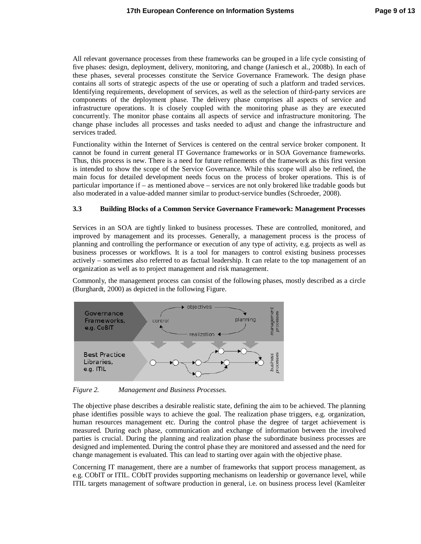All relevant governance processes from these frameworks can be grouped in a life cycle consisting of five phases: design, deployment, delivery, monitoring, and change (Janiesch et al., 2008b). In each of these phases, several processes constitute the Service Governance Framework. The design phase contains all sorts of strategic aspects of the use or operating of such a platform and traded services. Identifying requirements, development of services, as well as the selection of third-party services are components of the deployment phase. The delivery phase comprises all aspects of service and infrastructure operations. It is closely coupled with the monitoring phase as they are executed concurrently. The monitor phase contains all aspects of service and infrastructure monitoring. The change phase includes all processes and tasks needed to adjust and change the infrastructure and services traded.

Functionality within the Internet of Services is centered on the central service broker component. It cannot be found in current general IT Governance frameworks or in SOA Governance frameworks. Thus, this process is new. There is a need for future refinements of the framework as this first version is intended to show the scope of the Service Governance. While this scope will also be refined, the main focus for detailed development needs focus on the process of broker operations. This is of particular importance if – as mentioned above – services are not only brokered like tradable goods but also moderated in a value-added manner similar to product-service bundles (Schroeder, 2008).

#### **3.3 Building Blocks of a Common Service Governance Framework: Management Processes**

Services in an SOA are tightly linked to business processes. These are controlled, monitored, and improved by management and its processes. Generally, a management process is the process of planning and controlling the performance or execution of any type of activity, e.g. projects as well as business processes or workflows. It is a tool for managers to control existing business processes actively – sometimes also referred to as factual leadership. It can relate to the top management of an organization as well as to project management and risk management.

Commonly, the management process can consist of the following phases, mostly described as a circle (Burghardt, 2000) as depicted in the following Figure.



*Figure 2. Management and Business Processes.*

The objective phase describes a desirable realistic state, defining the aim to be achieved. The planning phase identifies possible ways to achieve the goal. The realization phase triggers, e.g. organization, human resources management etc. During the control phase the degree of target achievement is measured. During each phase, communication and exchange of information between the involved parties is crucial. During the planning and realization phase the subordinate business processes are designed and implemented. During the control phase they are monitored and assessed and the need for change management is evaluated. This can lead to starting over again with the objective phase.

Concerning IT management, there are a number of frameworks that support process management, as e.g. CObIT or ITIL. CObIT provides supporting mechanisms on leadership or governance level, while ITIL targets management of software production in general, i.e. on business process level (Kamleiter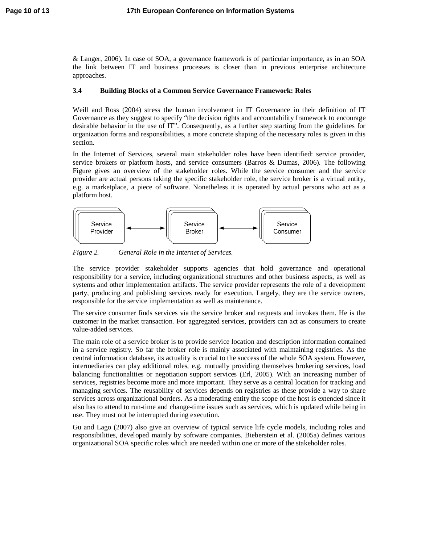& Langer, 2006). In case of SOA, a governance framework is of particular importance, as in an SOA the link between IT and business processes is closer than in previous enterprise architecture approaches.

### **3.4 Building Blocks of a Common Service Governance Framework: Roles**

Weill and Ross (2004) stress the human involvement in IT Governance in their definition of IT Governance as they suggest to specify "the decision rights and accountability framework to encourage desirable behavior in the use of IT". Consequently, as a further step starting from the guidelines for organization forms and responsibilities, a more concrete shaping of the necessary roles is given in this section.

In the Internet of Services, several main stakeholder roles have been identified: service provider, service brokers or platform hosts, and service consumers (Barros & Dumas, 2006). The following Figure gives an overview of the stakeholder roles. While the service consumer and the service provider are actual persons taking the specific stakeholder role, the service broker is a virtual entity, e.g. a marketplace, a piece of software. Nonetheless it is operated by actual persons who act as a platform host.



*Figure 2. General Role in the Internet of Services.*

The service provider stakeholder supports agencies that hold governance and operational responsibility for a service, including organizational structures and other business aspects, as well as systems and other implementation artifacts. The service provider represents the role of a development party, producing and publishing services ready for execution. Largely, they are the service owners, responsible for the service implementation as well as maintenance.

The service consumer finds services via the service broker and requests and invokes them. He is the customer in the market transaction. For aggregated services, providers can act as consumers to create value-added services.

The main role of a service broker is to provide service location and description information contained in a service registry. So far the broker role is mainly associated with maintaining registries. As the central information database, its actuality is crucial to the success of the whole SOA system. However, intermediaries can play additional roles, e.g. mutually providing themselves brokering services, load balancing functionalities or negotiation support services (Erl, 2005). With an increasing number of services, registries become more and more important. They serve as a central location for tracking and managing services. The reusability of services depends on registries as these provide a way to share services across organizational borders. As a moderating entity the scope of the host is extended since it also has to attend to run-time and change-time issues such as services, which is updated while being in use. They must not be interrupted during execution.

Gu and Lago (2007) also give an overview of typical service life cycle models, including roles and responsibilities, developed mainly by software companies. Bieberstein et al. (2005a) defines various organizational SOA specific roles which are needed within one or more of the stakeholder roles.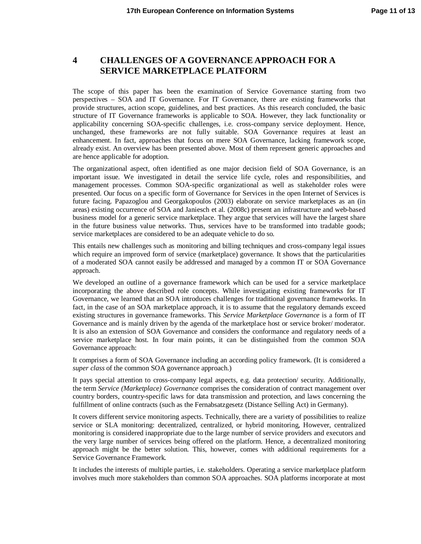# **4 CHALLENGES OF A GOVERNANCE APPROACH FOR A SERVICE MARKETPLACE PLATFORM**

The scope of this paper has been the examination of Service Governance starting from two perspectives – SOA and IT Governance. For IT Governance, there are existing frameworks that provide structures, action scope, guidelines, and best practices. As this research concluded, the basic structure of IT Governance frameworks is applicable to SOA. However, they lack functionality or applicability concerning SOA-specific challenges, i.e. cross-company service deployment. Hence, unchanged, these frameworks are not fully suitable. SOA Governance requires at least an enhancement. In fact, approaches that focus on mere SOA Governance, lacking framework scope, already exist. An overview has been presented above. Most of them represent generic approaches and are hence applicable for adoption.

The organizational aspect, often identified as one major decision field of SOA Governance, is an important issue. We investigated in detail the service life cycle, roles and responsibilities, and management processes. Common SOA-specific organizational as well as stakeholder roles were presented. Our focus on a specific form of Governance for Services in the open Internet of Services is future facing. Papazoglou and Georgakopoulos (2003) elaborate on service marketplaces as an (in areas) existing occurrence of SOA and Janiesch et al. (2008c) present an infrastructure and web-based business model for a generic service marketplace. They argue that services will have the largest share in the future business value networks. Thus, services have to be transformed into tradable goods; service marketplaces are considered to be an adequate vehicle to do so.

This entails new challenges such as monitoring and billing techniques and cross-company legal issues which require an improved form of service (marketplace) governance. It shows that the particularities of a moderated SOA cannot easily be addressed and managed by a common IT or SOA Governance approach.

We developed an outline of a governance framework which can be used for a service marketplace incorporating the above described role concepts. While investigating existing frameworks for IT Governance, we learned that an SOA introduces challenges for traditional governance frameworks. In fact, in the case of an SOA marketplace approach, it is to assume that the regulatory demands exceed existing structures in governance frameworks. This *Service Marketplace Governance* is a form of IT Governance and is mainly driven by the agenda of the marketplace host or service broker/ moderator. It is also an extension of SOA Governance and considers the conformance and regulatory needs of a service marketplace host. In four main points, it can be distinguished from the common SOA Governance approach:

It comprises a form of SOA Governance including an according policy framework. (It is considered a *super class* of the common SOA governance approach.)

It pays special attention to cross-company legal aspects, e.g. data protection/ security. Additionally, the term *Service (Marketplace) Governance* comprises the consideration of contract management over country borders, country-specific laws for data transmission and protection, and laws concerning the fulfillment of online contracts (such as the Fernabsatzgesetz (Distance Selling Act) in Germany).

It covers different service monitoring aspects. Technically, there are a variety of possibilities to realize service or SLA monitoring: decentralized, centralized, or hybrid monitoring, However, centralized monitoring is considered inappropriate due to the large number of service providers and executors and the very large number of services being offered on the platform. Hence, a decentralized monitoring approach might be the better solution. This, however, comes with additional requirements for a Service Governance Framework.

It includes the interests of multiple parties, i.e. stakeholders. Operating a service marketplace platform involves much more stakeholders than common SOA approaches. SOA platforms incorporate at most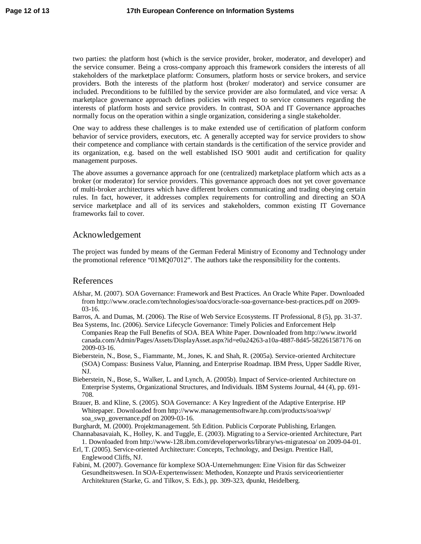two parties: the platform host (which is the service provider, broker, moderator, and developer) and the service consumer. Being a cross-company approach this framework considers the interests of all stakeholders of the marketplace platform: Consumers, platform hosts or service brokers, and service providers. Both the interests of the platform host (broker/ moderator) and service consumer are included. Preconditions to be fulfilled by the service provider are also formulated, and vice versa: A marketplace governance approach defines policies with respect to service consumers regarding the interests of platform hosts and service providers. In contrast, SOA and IT Governance approaches normally focus on the operation within a single organization, considering a single stakeholder.

One way to address these challenges is to make extended use of certification of platform conform behavior of service providers, executors, etc. A generally accepted way for service providers to show their competence and compliance with certain standards is the certification of the service provider and its organization, e.g. based on the well established ISO 9001 audit and certification for quality management purposes.

The above assumes a governance approach for one (centralized) marketplace platform which acts as a broker (or moderator) for service providers. This governance approach does not yet cover governance of multi-broker architectures which have different brokers communicating and trading obeying certain rules. In fact, however, it addresses complex requirements for controlling and directing an SOA service marketplace and all of its services and stakeholders, common existing IT Governance frameworks fail to cover.

### Acknowledgement

The project was funded by means of the German Federal Ministry of Economy and Technology under the promotional reference "01MQ07012". The authors take the responsibility for the contents.

#### References

- Afshar, M. (2007). SOA Governance: Framework and Best Practices. An Oracle White Paper. Downloaded from <http://www.oracle.com/technologies/soa/docs/oracle-soa-governance-best-practices.pdf>on 2009- 03-16.
- Barros, A. and Dumas, M. (2006). The Rise of Web Service Ecosystems. IT Professional, 8 (5), pp. 31-37.
- Bea Systems, Inc. (2006). Service Lifecycle Governance: Timely Policies and Enforcement Help Companies Reap the Full Benefits of SOA. BEA White Paper. Downloaded from [http://www.itworld](http://www.itworld/) canada.com/Admin/Pages/Assets/DisplayAsset.aspx?id=e0a24263-a10a-4887-8d45-582261587176 on 2009-03-16.
- Bieberstein, N., Bose, S., Fiammante, M., Jones, K. and Shah, R. (2005a). Service-oriented Architecture (SOA) Compass: Business Value, Planning, and Enterprise Roadmap. IBM Press, Upper Saddle River, NJ.
- Bieberstein, N., Bose, S., Walker, L. and Lynch, A. (2005b). Impact of Service-oriented Architecture on Enterprise Systems, Organizational Structures, and Individuals. IBM Systems Journal, 44 (4), pp. 691- 708.
- Brauer, B. and Kline, S. (2005). SOA Governance: A Key Ingredient of the Adaptive Enterprise. HP Whitepaper. Downloaded from <http://www.managementsoftware.hp.com/products/soa/swp/> soa\_swp\_governance.pdf on 2009-03-16.

Burghardt, M. (2000). Projektmanagement. 5th Edition. Publicis Corporate Publishing, Erlangen.

- Channabasavaiah, K., Holley, K. and Tuggle, E. (2003). Migrating to a Service-oriented Architecture, Part 1. Downloaded from <http://www-128.ibm.com/developerworks/library/ws-migratesoa/> on 2009-04-01.
- Erl, T. (2005). Service-oriented Architecture: Concepts, Technology, and Design. Prentice Hall, Englewood Cliffs, NJ.
- Fabini, M. (2007). Governance für komplexe SOA-Unternehmungen: Eine Vision für das Schweizer Gesundheitswesen. In SOA-Expertenwissen: Methoden, Konzepte und Praxis serviceorientierter Architekturen (Starke, G. and Tilkov, S. Eds.), pp. 309-323, dpunkt, Heidelberg.